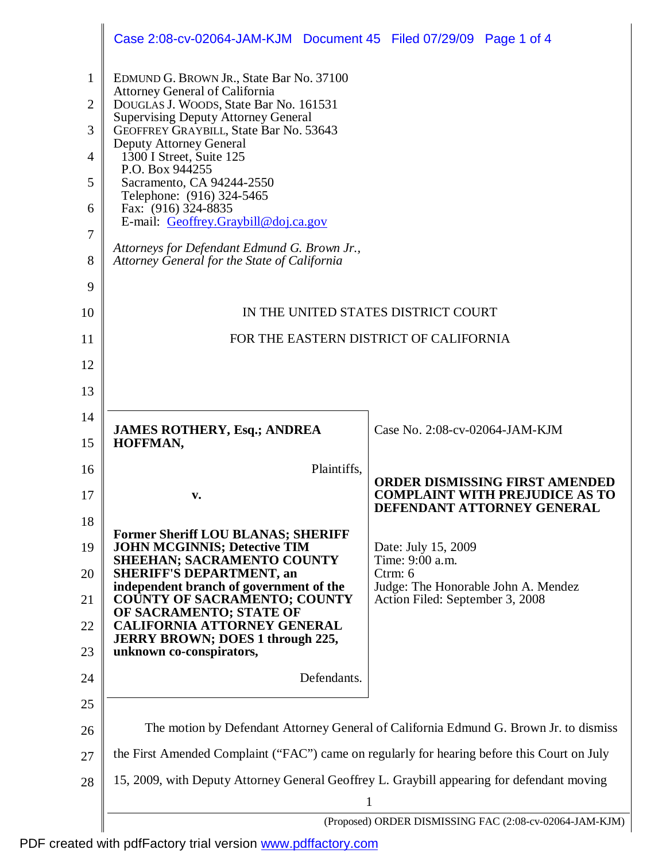|                | Case 2:08-cv-02064-JAM-KJM Document 45 Filed 07/29/09 Page 1 of 4                                    |                                                                     |
|----------------|------------------------------------------------------------------------------------------------------|---------------------------------------------------------------------|
| 1              | EDMUND G. BROWN JR., State Bar No. 37100<br>Attorney General of California                           |                                                                     |
| $\overline{2}$ | DOUGLAS J. WOODS, State Bar No. 161531<br><b>Supervising Deputy Attorney General</b>                 |                                                                     |
| 3              | GEOFFREY GRAYBILL, State Bar No. 53643<br>Deputy Attorney General                                    |                                                                     |
| 4              | 1300 I Street, Suite 125<br>P.O. Box 944255                                                          |                                                                     |
| 5              | Sacramento, CA 94244-2550<br>Telephone: (916) 324-5465                                               |                                                                     |
| 6              | Fax: (916) 324-8835<br>E-mail: Geoffrey.Graybill@doj.ca.gov                                          |                                                                     |
| $\tau$<br>8    | Attorneys for Defendant Edmund G. Brown Jr.,<br>Attorney General for the State of California         |                                                                     |
| 9              |                                                                                                      |                                                                     |
| 10             | IN THE UNITED STATES DISTRICT COURT                                                                  |                                                                     |
| 11             | FOR THE EASTERN DISTRICT OF CALIFORNIA                                                               |                                                                     |
| 12             |                                                                                                      |                                                                     |
| 13             |                                                                                                      |                                                                     |
| 14             |                                                                                                      | Case No. 2:08-cv-02064-JAM-KJM                                      |
| 15             | <b>JAMES ROTHERY, Esq.; ANDREA</b><br>HOFFMAN,                                                       |                                                                     |
| 16             | Plaintiffs,                                                                                          | <b>ORDER DISMISSING FIRST AMENDED</b>                               |
| 17             | v.                                                                                                   | <b>COMPLAINT WITH PREJUDICE AS TO</b><br>DEFENDANT ATTORNEY GENERAL |
| 18             | <b>Former Sheriff LOU BLANAS; SHERIFF</b>                                                            |                                                                     |
| 19             | <b>JOHN MCGINNIS; Detective TIM</b><br><b>SHEEHAN; SACRAMENTO COUNTY</b>                             | Date: July 15, 2009<br>Time: 9:00 a.m.                              |
| 20             | <b>SHERIFF'S DEPARTMENT, an</b><br>independent branch of government of the                           | Ctrm: 6<br>Judge: The Honorable John A. Mendez                      |
| 21             | <b>COUNTY OF SACRAMENTO; COUNTY</b><br>OF SACRAMENTO; STATE OF<br><b>CALIFORNIA ATTORNEY GENERAL</b> | Action Filed: September 3, 2008                                     |
| 22<br>23       | <b>JERRY BROWN; DOES 1 through 225,</b><br>unknown co-conspirators,                                  |                                                                     |
| 24             | Defendants.                                                                                          |                                                                     |
| 25             |                                                                                                      |                                                                     |
| 26             | The motion by Defendant Attorney General of California Edmund G. Brown Jr. to dismiss                |                                                                     |
| 27             | the First Amended Complaint ("FAC") came on regularly for hearing before this Court on July          |                                                                     |
| 28             | 15, 2009, with Deputy Attorney General Geoffrey L. Graybill appearing for defendant moving           |                                                                     |
|                | 1                                                                                                    |                                                                     |
|                | (Proposed) ORDER DISMISSING FAC (2:08-cv-02064-JAM-KJM)                                              |                                                                     |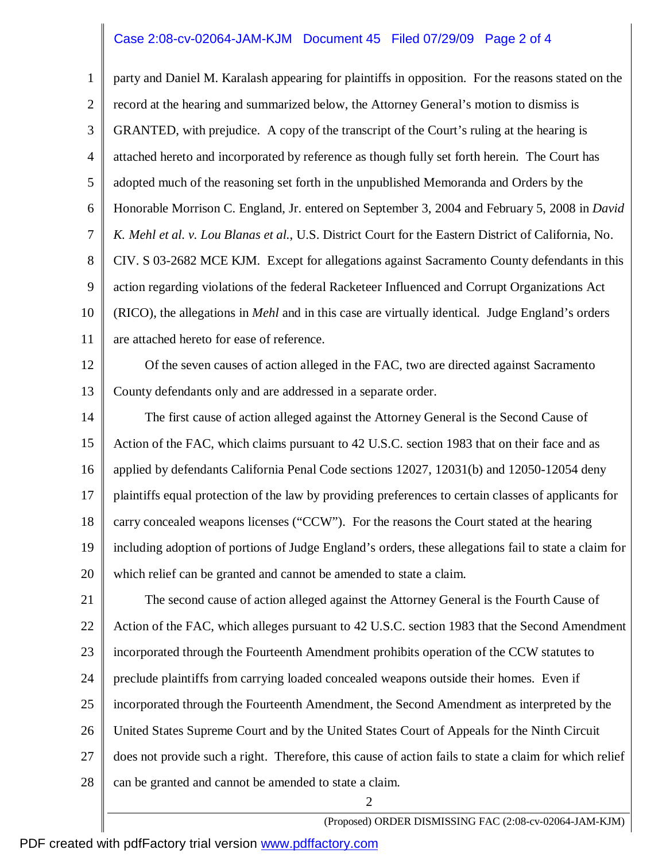## Case 2:08-cv-02064-JAM-KJM Document 45 Filed 07/29/09 Page 2 of 4

1 2 3 4 5 6 7 8 9 10 11 party and Daniel M. Karalash appearing for plaintiffs in opposition. For the reasons stated on the record at the hearing and summarized below, the Attorney General's motion to dismiss is GRANTED, with prejudice. A copy of the transcript of the Court's ruling at the hearing is attached hereto and incorporated by reference as though fully set forth herein. The Court has adopted much of the reasoning set forth in the unpublished Memoranda and Orders by the Honorable Morrison C. England, Jr. entered on September 3, 2004 and February 5, 2008 in *David K. Mehl et al. v. Lou Blanas et al.*, U.S. District Court for the Eastern District of California, No. CIV. S 03-2682 MCE KJM. Except for allegations against Sacramento County defendants in this action regarding violations of the federal Racketeer Influenced and Corrupt Organizations Act (RICO), the allegations in *Mehl* and in this case are virtually identical. Judge England's orders are attached hereto for ease of reference.

12 13 Of the seven causes of action alleged in the FAC, two are directed against Sacramento County defendants only and are addressed in a separate order.

14 15 16 17 18 19 20 The first cause of action alleged against the Attorney General is the Second Cause of Action of the FAC, which claims pursuant to 42 U.S.C. section 1983 that on their face and as applied by defendants California Penal Code sections 12027, 12031(b) and 12050-12054 deny plaintiffs equal protection of the law by providing preferences to certain classes of applicants for carry concealed weapons licenses ("CCW"). For the reasons the Court stated at the hearing including adoption of portions of Judge England's orders, these allegations fail to state a claim for which relief can be granted and cannot be amended to state a claim.

21 22 23 24 25 26 27 28 2 The second cause of action alleged against the Attorney General is the Fourth Cause of Action of the FAC, which alleges pursuant to 42 U.S.C. section 1983 that the Second Amendment incorporated through the Fourteenth Amendment prohibits operation of the CCW statutes to preclude plaintiffs from carrying loaded concealed weapons outside their homes. Even if incorporated through the Fourteenth Amendment, the Second Amendment as interpreted by the United States Supreme Court and by the United States Court of Appeals for the Ninth Circuit does not provide such a right. Therefore, this cause of action fails to state a claim for which relief can be granted and cannot be amended to state a claim.

(Proposed) ORDER DISMISSING FAC (2:08-cv-02064-JAM-KJM)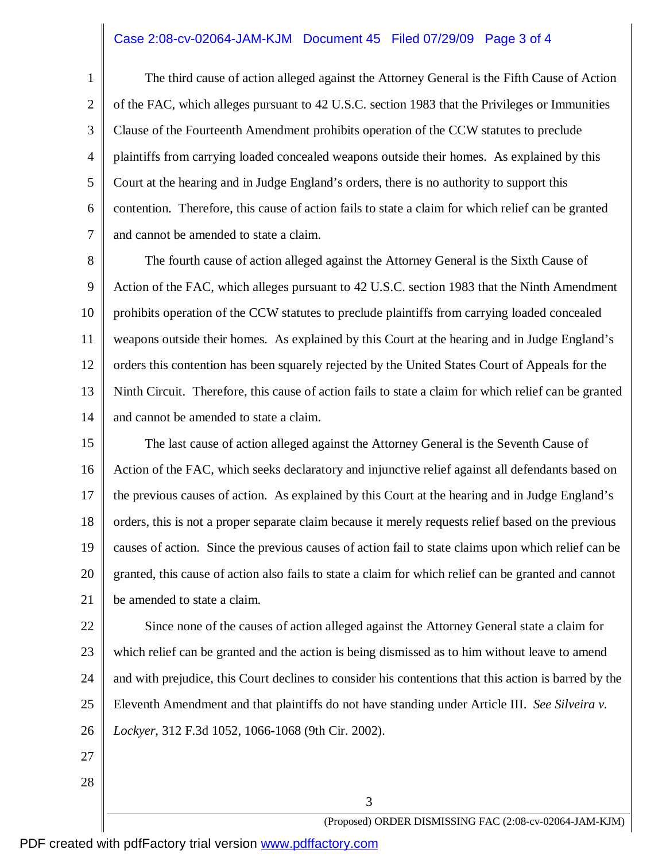## Case 2:08-cv-02064-JAM-KJM Document 45 Filed 07/29/09 Page 3 of 4

1 2 3 4 5 6 7 The third cause of action alleged against the Attorney General is the Fifth Cause of Action of the FAC, which alleges pursuant to 42 U.S.C. section 1983 that the Privileges or Immunities Clause of the Fourteenth Amendment prohibits operation of the CCW statutes to preclude plaintiffs from carrying loaded concealed weapons outside their homes. As explained by this Court at the hearing and in Judge England's orders, there is no authority to support this contention. Therefore, this cause of action fails to state a claim for which relief can be granted and cannot be amended to state a claim.

8 9 10 11 12 13 14 The fourth cause of action alleged against the Attorney General is the Sixth Cause of Action of the FAC, which alleges pursuant to 42 U.S.C. section 1983 that the Ninth Amendment prohibits operation of the CCW statutes to preclude plaintiffs from carrying loaded concealed weapons outside their homes. As explained by this Court at the hearing and in Judge England's orders this contention has been squarely rejected by the United States Court of Appeals for the Ninth Circuit. Therefore, this cause of action fails to state a claim for which relief can be granted and cannot be amended to state a claim.

15 16 17 18 19 20 21 The last cause of action alleged against the Attorney General is the Seventh Cause of Action of the FAC, which seeks declaratory and injunctive relief against all defendants based on the previous causes of action. As explained by this Court at the hearing and in Judge England's orders, this is not a proper separate claim because it merely requests relief based on the previous causes of action. Since the previous causes of action fail to state claims upon which relief can be granted, this cause of action also fails to state a claim for which relief can be granted and cannot be amended to state a claim.

22 23 24 25 26 Since none of the causes of action alleged against the Attorney General state a claim for which relief can be granted and the action is being dismissed as to him without leave to amend and with prejudice, this Court declines to consider his contentions that this action is barred by the Eleventh Amendment and that plaintiffs do not have standing under Article III. *See Silveira v. Lockyer*, 312 F.3d 1052, 1066-1068 (9th Cir. 2002).

3

- 27
- 28